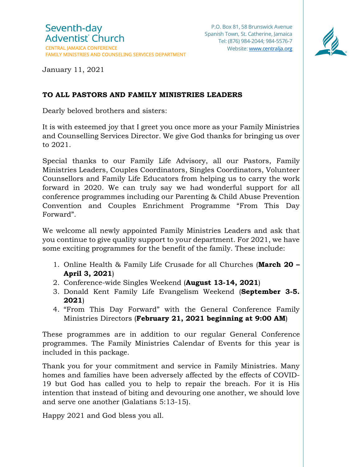

January 11, 2021

## **TO ALL PASTORS AND FAMILY MINISTRIES LEADERS**

Dearly beloved brothers and sisters:

It is with esteemed joy that I greet you once more as your Family Ministries and Counselling Services Director. We give God thanks for bringing us over to 2021.

Special thanks to our Family Life Advisory, all our Pastors, Family Ministries Leaders, Couples Coordinators, Singles Coordinators, Volunteer Counsellors and Family Life Educators from helping us to carry the work forward in 2020. We can truly say we had wonderful support for all conference programmes including our Parenting & Child Abuse Prevention Convention and Couples Enrichment Programme "From This Day Forward".

We welcome all newly appointed Family Ministries Leaders and ask that you continue to give quality support to your department. For 2021, we have some exciting programmes for the benefit of the family. These include:

- 1. Online Health & Family Life Crusade for all Churches (**March 20 – April 3, 2021**)
- 2. Conference-wide Singles Weekend (**August 13-14, 2021**)
- 3. Donald Kent Family Life Evangelism Weekend (**September 3-5. 2021**)
- 4. "From This Day Forward" with the General Conference Family Ministries Directors (**February 21, 2021 beginning at 9:00 AM**)

These programmes are in addition to our regular General Conference programmes. The Family Ministries Calendar of Events for this year is included in this package.

Thank you for your commitment and service in Family Ministries. Many homes and families have been adversely affected by the effects of COVID-19 but God has called you to help to repair the breach. For it is His intention that instead of biting and devouring one another, we should love and serve one another (Galatians 5:13-15).

Happy 2021 and God bless you all.